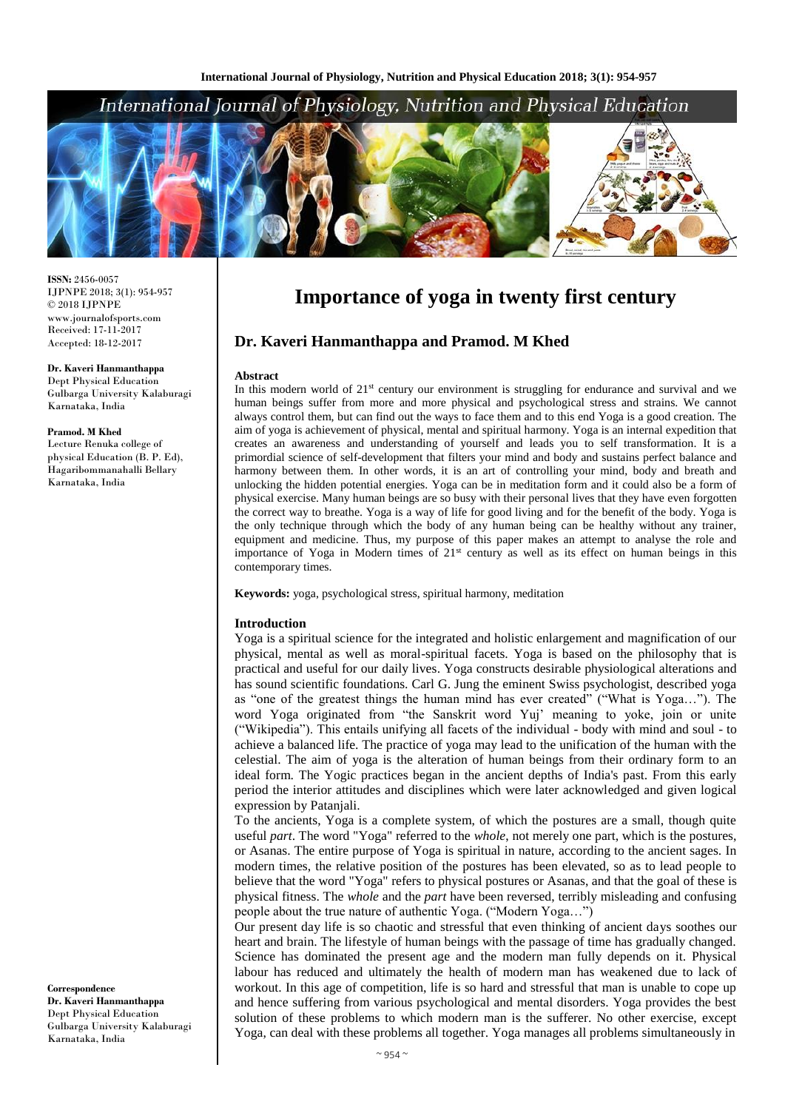# International Journal of Physiology, Nutrition and Physical Education



**ISSN:** 2456-0057 IJPNPE 2018; 3(1): 954-957  $\odot$  2018 IJPNPE www.journalofsports.com Received: 17-11-2017 Accepted: 18-12-2017

**Dr. Kaveri Hanmanthappa** Dept Physical Education Gulbarga University Kalaburagi Karnataka, India

#### **Pramod. M Khed**

Lecture Renuka college of physical Education (B. P. Ed), Hagaribommanahalli Bellary Karnataka, India

**Correspondence Dr. Kaveri Hanmanthappa** Dept Physical Education Gulbarga University Kalaburagi Karnataka, India

# **Importance of yoga in twenty first century**

# **Dr. Kaveri Hanmanthappa and Pramod. M Khed**

#### **Abstract**

In this modern world of  $21<sup>st</sup>$  century our environment is struggling for endurance and survival and we human beings suffer from more and more physical and psychological stress and strains. We cannot always control them, but can find out the ways to face them and to this end Yoga is a good creation. The aim of yoga is achievement of physical, mental and spiritual harmony. Yoga is an internal expedition that creates an awareness and understanding of yourself and leads you to self transformation. It is a primordial science of self-development that filters your mind and body and sustains perfect balance and harmony between them. In other words, it is an art of controlling your mind, body and breath and unlocking the hidden potential energies. Yoga can be in meditation form and it could also be a form of physical exercise. Many human beings are so busy with their personal lives that they have even forgotten the correct way to breathe. Yoga is a way of life for good living and for the benefit of the body. Yoga is the only technique through which the body of any human being can be healthy without any trainer, equipment and medicine. Thus, my purpose of this paper makes an attempt to analyse the role and importance of Yoga in Modern times of 21st century as well as its effect on human beings in this contemporary times.

**Keywords:** yoga, psychological stress, spiritual harmony, meditation

#### **Introduction**

Yoga is a spiritual science for the integrated and holistic enlargement and magnification of our physical, mental as well as moral-spiritual facets. Yoga is based on the philosophy that is practical and useful for our daily lives. Yoga constructs desirable physiological alterations and has sound scientific foundations. Carl G. Jung the eminent Swiss psychologist, described yoga as "one of the greatest things the human mind has ever created" ("What is Yoga…"). The word Yoga originated from "the Sanskrit word Yuj' meaning to yoke, join or unite ("Wikipedia"). This entails unifying all facets of the individual - body with mind and soul - to achieve a balanced life. The practice of yoga may lead to the unification of the human with the celestial. The aim of yoga is the alteration of human beings from their ordinary form to an ideal form. The Yogic practices began in the ancient depths of India's past. From this early period the interior attitudes and disciplines which were later acknowledged and given logical expression by Patanjali.

To the ancients, Yoga is a complete system, of which the postures are a small, though quite useful *part*. The word "Yoga" referred to the *whole*, not merely one part, which is the postures, or Asanas. The entire purpose of Yoga is spiritual in nature, according to the ancient sages. In modern times, the relative position of the postures has been elevated, so as to lead people to believe that the word "Yoga" refers to physical postures or Asanas, and that the goal of these is physical fitness. The *whole* and the *part* have been reversed, terribly misleading and confusing people about the true nature of authentic Yoga. ("Modern Yoga…")

Our present day life is so chaotic and stressful that even thinking of ancient days soothes our heart and brain. The lifestyle of human beings with the passage of time has gradually changed. Science has dominated the present age and the modern man fully depends on it. Physical labour has reduced and ultimately the health of modern man has weakened due to lack of workout. In this age of competition, life is so hard and stressful that man is unable to cope up and hence suffering from various psychological and mental disorders. Yoga provides the best solution of these problems to which modern man is the sufferer. No other exercise, except Yoga, can deal with these problems all together. Yoga manages all problems simultaneously in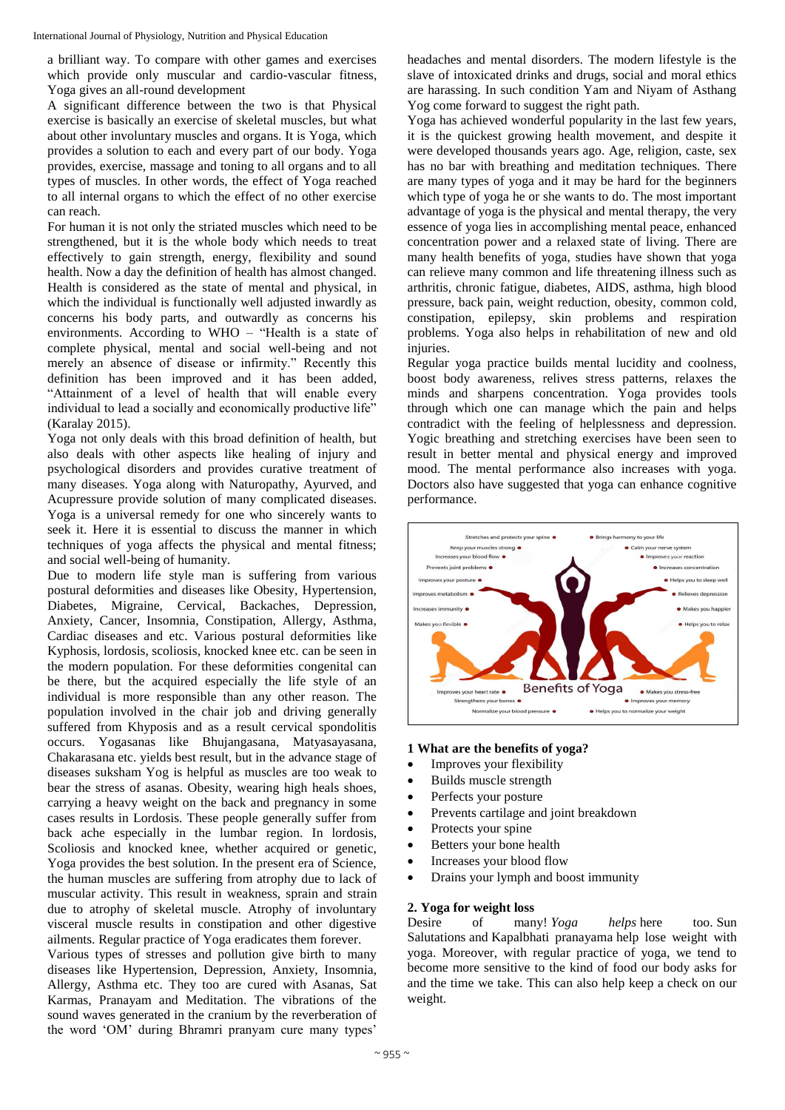a brilliant way. To compare with other games and exercises which provide only muscular and cardio-vascular fitness, Yoga gives an all-round development

A significant difference between the two is that Physical exercise is basically an exercise of skeletal muscles, but what about other involuntary muscles and organs. It is Yoga, which provides a solution to each and every part of our body. Yoga provides, exercise, massage and toning to all organs and to all types of muscles. In other words, the effect of Yoga reached to all internal organs to which the effect of no other exercise can reach.

For human it is not only the striated muscles which need to be strengthened, but it is the whole body which needs to treat effectively to gain strength, energy, flexibility and sound health. Now a day the definition of health has almost changed. Health is considered as the state of mental and physical, in which the individual is functionally well adjusted inwardly as concerns his body parts, and outwardly as concerns his environments. According to WHO – "Health is a state of complete physical, mental and social well-being and not merely an absence of disease or infirmity." Recently this definition has been improved and it has been added, "Attainment of a level of health that will enable every individual to lead a socially and economically productive life" (Karalay 2015).

Yoga not only deals with this broad definition of health, but also deals with other aspects like healing of injury and psychological disorders and provides curative treatment of many diseases. Yoga along with Naturopathy, Ayurved, and Acupressure provide solution of many complicated diseases. Yoga is a universal remedy for one who sincerely wants to seek it. Here it is essential to discuss the manner in which techniques of yoga affects the physical and mental fitness; and social well-being of humanity.

Due to modern life style man is suffering from various postural deformities and diseases like Obesity, Hypertension, Diabetes, Migraine, Cervical, Backaches, Depression, Anxiety, Cancer, Insomnia, Constipation, Allergy, Asthma, Cardiac diseases and etc. Various postural deformities like Kyphosis, lordosis, scoliosis, knocked knee etc. can be seen in the modern population. For these deformities congenital can be there, but the acquired especially the life style of an individual is more responsible than any other reason. The population involved in the chair job and driving generally suffered from Khyposis and as a result cervical spondolitis occurs. Yogasanas like Bhujangasana, Matyasayasana, Chakarasana etc. yields best result, but in the advance stage of diseases suksham Yog is helpful as muscles are too weak to bear the stress of asanas. Obesity, wearing high heals shoes, carrying a heavy weight on the back and pregnancy in some cases results in Lordosis. These people generally suffer from back ache especially in the lumbar region. In lordosis, Scoliosis and knocked knee, whether acquired or genetic, Yoga provides the best solution. In the present era of Science, the human muscles are suffering from atrophy due to lack of muscular activity. This result in weakness, sprain and strain due to atrophy of skeletal muscle. Atrophy of involuntary visceral muscle results in constipation and other digestive ailments. Regular practice of Yoga eradicates them forever.

Various types of stresses and pollution give birth to many diseases like Hypertension, Depression, Anxiety, Insomnia, Allergy, Asthma etc. They too are cured with Asanas, Sat Karmas, Pranayam and Meditation. The vibrations of the sound waves generated in the cranium by the reverberation of the word 'OM' during Bhramri pranyam cure many types'

headaches and mental disorders. The modern lifestyle is the slave of intoxicated drinks and drugs, social and moral ethics are harassing. In such condition Yam and Niyam of Asthang Yog come forward to suggest the right path.

Yoga has achieved wonderful popularity in the last few years, it is the quickest growing health movement, and despite it were developed thousands years ago. Age, religion, caste, sex has no bar with breathing and meditation techniques. There are many types of yoga and it may be hard for the beginners which type of yoga he or she wants to do. The most important advantage of yoga is the physical and mental therapy, the very essence of yoga lies in accomplishing mental peace, enhanced concentration power and a relaxed state of living. There are many health benefits of yoga, studies have shown that yoga can relieve many common and life threatening illness such as arthritis, chronic fatigue, diabetes, AIDS, asthma, high blood pressure, back pain, weight reduction, obesity, common cold, constipation, epilepsy, skin problems and respiration problems. Yoga also helps in rehabilitation of new and old injuries.

Regular yoga practice builds mental lucidity and coolness, boost body awareness, relives stress patterns, relaxes the minds and sharpens concentration. Yoga provides tools through which one can manage which the pain and helps contradict with the feeling of helplessness and depression. Yogic breathing and stretching exercises have been seen to result in better mental and physical energy and improved mood. The mental performance also increases with yoga. Doctors also have suggested that yoga can enhance cognitive performance.



## **1 What are the benefits of yoga?**

- Improves your flexibility
- Builds muscle strength
- Perfects your posture
- Prevents cartilage and joint breakdown
- Protects your spine
- Betters your bone health
- Increases your blood flow
- Drains your lymph and boost immunity

## **2. Yoga for weight loss**

Desire of many! *Yoga helps* here too. Sun Salutations and Kapalbhati pranayama help lose weight with yoga. Moreover, with regular practice of yoga, we tend to become more sensitive to the kind of food our body asks for and the time we take. This can also help keep a check on our weight.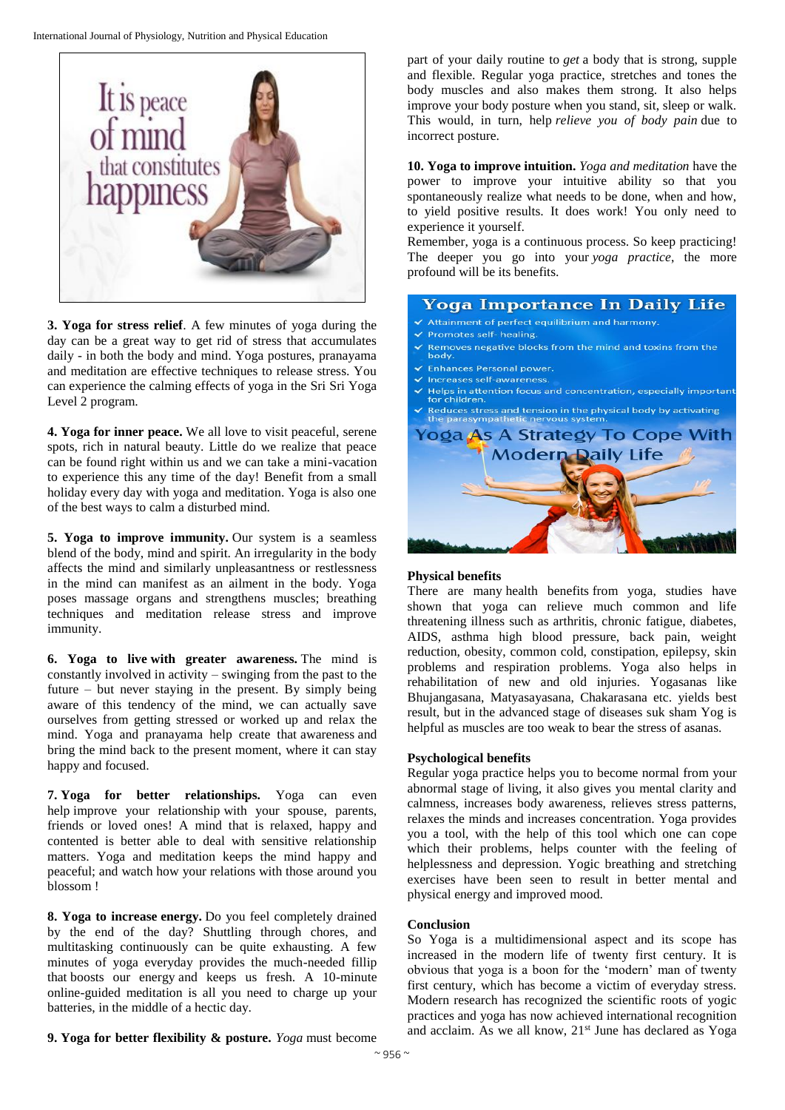

**3. Yoga for stress relief**. A few minutes of yoga during the day can be a great way to get rid of stress that accumulates daily - in both the body and mind. Yoga postures, pranayama and meditation are effective techniques to release stress. You can experience the calming effects of yoga in the Sri Sri Yoga Level 2 program.

**4. Yoga for inner peace.** We all love to visit peaceful, serene spots, rich in natural beauty. Little do we realize that peace can be found right within us and we can take a mini-vacation to experience this any time of the day! Benefit from a small holiday every day with yoga and meditation. Yoga is also one of the best ways to calm a disturbed mind.

**5. Yoga to improve immunity.** Our system is a seamless blend of the body, mind and spirit. An irregularity in the body affects the mind and similarly unpleasantness or restlessness in the mind can manifest as an ailment in the body. Yoga poses massage organs and strengthens muscles; breathing techniques and meditation release stress and improve immunity.

**6. Yoga to live with greater awareness.** The mind is constantly involved in activity – swinging from the past to the future – but never staying in the present. By simply being aware of this tendency of the mind, we can actually save ourselves from getting stressed or worked up and relax the mind. Yoga and pranayama help create that awareness and bring the mind back to the present moment, where it can stay happy and focused.

**7. Yoga for better relationships.** Yoga can even help improve your relationship with your spouse, parents, friends or loved ones! A mind that is relaxed, happy and contented is better able to deal with sensitive relationship matters. Yoga and meditation keeps the mind happy and peaceful; and watch how your relations with those around you blossom !

**8. Yoga to increase energy.** Do you feel completely drained by the end of the day? Shuttling through chores, and multitasking continuously can be quite exhausting. A few minutes of yoga everyday provides the much-needed fillip that boosts our energy and keeps us fresh. A 10-minute online-guided meditation is all you need to charge up your batteries, in the middle of a hectic day.

part of your daily routine to *get* a body that is strong, supple and flexible. Regular yoga practice, stretches and tones the body muscles and also makes them strong. It also helps improve your body posture when you stand, sit, sleep or walk. This would, in turn, help *relieve you of body pain* due to incorrect posture.

**10. Yoga to improve intuition.** *Yoga and meditation* have the power to improve your intuitive ability so that you spontaneously realize what needs to be done, when and how, to yield positive results. It does work! You only need to experience it yourself.

Remember, yoga is a continuous process. So keep practicing! The deeper you go into your *yoga practice*, the more profound will be its benefits.

| <b>Yoga Importance In Daily Life</b>                                                                              |
|-------------------------------------------------------------------------------------------------------------------|
| ✔ Attainment of perfect equilibrium and harmony.                                                                  |
| ✔ Promotes self- healing.                                                                                         |
| $\blacktriangleright$ Removes negative blocks from the mind and toxins from the<br>body.                          |
| ✔ Enhances Personal power.                                                                                        |
| √ Increases self-awareness.                                                                                       |
| $\checkmark$ Helps in attention focus and concentration, especially important<br>for children.                    |
| $\checkmark$ Reduces stress and tension in the physical body by activating<br>the parasympathetic nervous system. |
| Yoga As A Strategy To Cope With                                                                                   |
| <b>Modern Daily Life</b>                                                                                          |
|                                                                                                                   |

## **Physical benefits**

There are many health benefits from yoga, studies have shown that yoga can relieve much common and life threatening illness such as arthritis, chronic fatigue, diabetes, AIDS, asthma high blood pressure, back pain, weight reduction, obesity, common cold, constipation, epilepsy, skin problems and respiration problems. Yoga also helps in rehabilitation of new and old injuries. Yogasanas like Bhujangasana, Matyasayasana, Chakarasana etc. yields best result, but in the advanced stage of diseases suk sham Yog is helpful as muscles are too weak to bear the stress of asanas.

## **Psychological benefits**

Regular yoga practice helps you to become normal from your abnormal stage of living, it also gives you mental clarity and calmness, increases body awareness, relieves stress patterns, relaxes the minds and increases concentration. Yoga provides you a tool, with the help of this tool which one can cope which their problems, helps counter with the feeling of helplessness and depression. Yogic breathing and stretching exercises have been seen to result in better mental and physical energy and improved mood.

#### **Conclusion**

So Yoga is a multidimensional aspect and its scope has increased in the modern life of twenty first century. It is obvious that yoga is a boon for the 'modern' man of twenty first century, which has become a victim of everyday stress. Modern research has recognized the scientific roots of yogic practices and yoga has now achieved international recognition and acclaim. As we all know, 21<sup>st</sup> June has declared as Yoga

**9. Yoga for better flexibility & posture.** *Yoga* must become